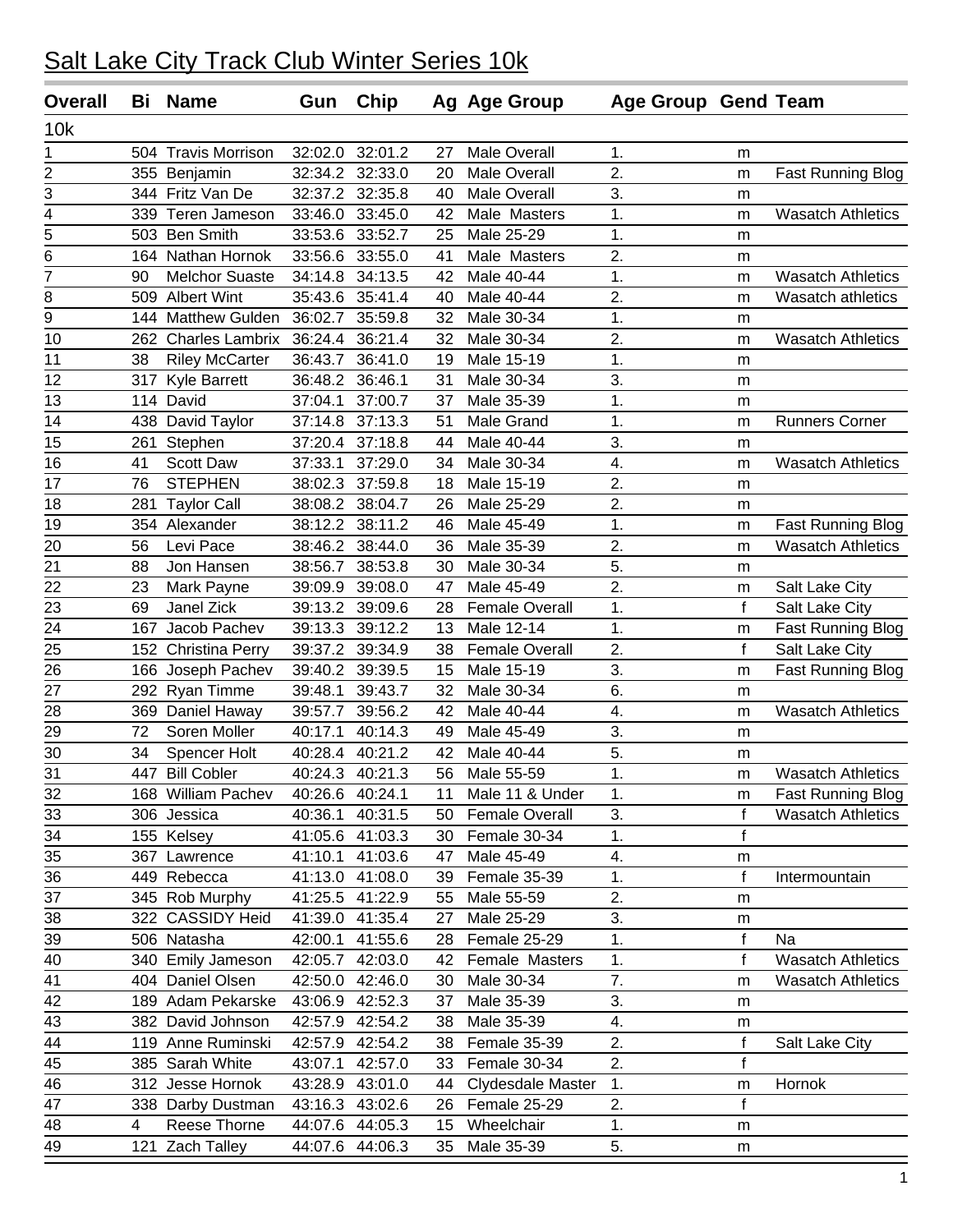| <b>Overall</b> | Bi  | <b>Name</b>            | Gun             | Chip            |    | Ag Age Group          | <b>Age Group Gend Team</b> |              |                          |
|----------------|-----|------------------------|-----------------|-----------------|----|-----------------------|----------------------------|--------------|--------------------------|
| 10k            |     |                        |                 |                 |    |                       |                            |              |                          |
| 1              | 504 | <b>Travis Morrison</b> | 32:02.0         | 32:01.2         | 27 | <b>Male Overall</b>   | 1.                         | m            |                          |
| $\overline{2}$ |     | 355 Benjamin           | 32:34.2         | 32:33.0         | 20 | <b>Male Overall</b>   | 2.                         | m            | <b>Fast Running Blog</b> |
| 3              |     | 344 Fritz Van De       | 32:37.2         | 32:35.8         | 40 | <b>Male Overall</b>   | 3.                         | m            |                          |
| 4              |     | 339 Teren Jameson      | 33:46.0         | 33:45.0         | 42 | Male Masters          | 1.                         | m            | <b>Wasatch Athletics</b> |
| 5              |     | 503 Ben Smith          | 33:53.6         | 33:52.7         | 25 | Male 25-29            | 1.                         | m            |                          |
| 6              |     | 164 Nathan Hornok      | 33:56.6         | 33:55.0         | 41 | Male Masters          | 2.                         | m            |                          |
| $\overline{7}$ | 90  | <b>Melchor Suaste</b>  | 34:14.8         | 34:13.5         | 42 | Male 40-44            | 1.                         | m            | <b>Wasatch Athletics</b> |
| 8              | 509 | <b>Albert Wint</b>     | 35:43.6         | 35:41.4         | 40 | Male 40-44            | 2.                         | m            | Wasatch athletics        |
| 9              | 144 | Matthew Gulden         | 36:02.7         | 35:59.8         | 32 | Male 30-34            | 1.                         | m            |                          |
| 10             | 262 | <b>Charles Lambrix</b> | 36:24.4         | 36:21.4         | 32 | Male 30-34            | 2.                         | m            | <b>Wasatch Athletics</b> |
| 11             | 38  | <b>Riley McCarter</b>  | 36:43.7         | 36:41.0         | 19 | Male 15-19            | 1.                         | m            |                          |
| 12             | 317 | <b>Kyle Barrett</b>    | 36:48.2         | 36:46.1         | 31 | Male 30-34            | 3.                         | m            |                          |
| 13             | 114 | David                  | 37:04.1         | 37:00.7         | 37 | Male 35-39            | 1.                         | m            |                          |
| 14             | 438 | David Taylor           | 37:14.8         | 37:13.3         | 51 | Male Grand            | 1.                         | m            | <b>Runners Corner</b>    |
| 15             | 261 | Stephen                | 37:20.4         | 37:18.8         | 44 | Male 40-44            | 3.                         | m            |                          |
| 16             | 41  | Scott Daw              | 37:33.1         | 37:29.0         | 34 | Male 30-34            | 4.                         | m            | <b>Wasatch Athletics</b> |
| 17             | 76  | <b>STEPHEN</b>         | 38:02.3         | 37:59.8         | 18 | Male 15-19            | 2.                         | m            |                          |
| 18             | 281 | <b>Taylor Call</b>     | 38:08.2         | 38:04.7         | 26 | Male 25-29            | 2.                         | m            |                          |
| 19             |     | 354 Alexander          | 38:12.2         | 38:11.2         | 46 | Male 45-49            | 1.                         | m            | <b>Fast Running Blog</b> |
| 20             | 56  | Levi Pace              | 38:46.2         | 38:44.0         | 36 | Male 35-39            | 2.                         | m            | <b>Wasatch Athletics</b> |
| 21             | 88  | Jon Hansen             | 38:56.7         | 38:53.8         | 30 | Male 30-34            | 5.                         | m            |                          |
| 22             | 23  | Mark Payne             | 39:09.9         | 39:08.0         | 47 | Male 45-49            | $\overline{2}$ .           | m            | Salt Lake City           |
| 23             | 69  | Janel Zick             | 39:13.2         | 39:09.6         | 28 | <b>Female Overall</b> | $\mathbf 1$ .              | $\mathsf f$  | Salt Lake City           |
| 24             | 167 | Jacob Pachev           | 39:13.3         | 39:12.2         | 13 | Male 12-14            | 1.                         | m            | <b>Fast Running Blog</b> |
| 25             | 152 | <b>Christina Perry</b> | 39:37.2         | 39:34.9         | 38 | <b>Female Overall</b> | 2.                         | $\mathbf f$  | Salt Lake City           |
| 26             | 166 | Joseph Pachev          | 39:40.2         | 39:39.5         | 15 | Male 15-19            | 3.                         | m            | <b>Fast Running Blog</b> |
| 27             | 292 | Ryan Timme             | 39:48.1         | 39:43.7         | 32 | Male 30-34            | 6.                         | m            |                          |
| 28             | 369 | Daniel Haway           | 39:57.7         | 39:56.2         | 42 | Male 40-44            | 4.                         | m            | <b>Wasatch Athletics</b> |
| 29             | 72  | Soren Moller           | 40:17.1         | 40:14.3         | 49 | Male 45-49            | 3.                         | m            |                          |
| 30             | 34  | Spencer Holt           | 40:28.4         | 40:21.2         | 42 | Male 40-44            | 5.                         | m            |                          |
| 31             |     | 447 Bill Cobler        | 40:24.3         | 40:21.3         | 56 | Male 55-59            | 1.                         | m            | <b>Wasatch Athletics</b> |
| 32             |     | 168 William Pachev     | 40:26.6 40:24.1 |                 | 11 | Male 11 & Under       | 1.                         | m            | Fast Running Blog        |
| 33             |     | 306 Jessica            |                 | 40:36.1 40:31.5 | 50 | Female Overall        | 3.                         | $\mathsf f$  | <b>Wasatch Athletics</b> |
| 34             |     | 155 Kelsey             |                 | 41:05.6 41:03.3 | 30 | Female 30-34          | 1.                         | f            |                          |
| 35             |     | 367 Lawrence           |                 | 41:10.1 41:03.6 | 47 | Male 45-49            | 4.                         | m            |                          |
| 36             |     | 449 Rebecca            |                 | 41:13.0 41:08.0 | 39 | Female 35-39          | 1.                         | $\mathbf f$  | Intermountain            |
| 37             |     | 345 Rob Murphy         |                 | 41:25.5 41:22.9 | 55 | Male 55-59            | 2.                         | m            |                          |
| 38             |     | 322 CASSIDY Heid       |                 | 41:39.0 41:35.4 | 27 | Male 25-29            | 3.                         | m            |                          |
| 39             |     | 506 Natasha            | 42:00.1         | 41:55.6         | 28 | Female 25-29          | 1.                         | $\mathsf f$  | Na                       |
| 40             |     | 340 Emily Jameson      | 42:05.7         | 42:03.0         | 42 | Female Masters        | 1.                         | f            | <b>Wasatch Athletics</b> |
| 41             |     | 404 Daniel Olsen       | 42:50.0         | 42:46.0         | 30 | Male 30-34            | 7.                         | m            | <b>Wasatch Athletics</b> |
| 42             |     | 189 Adam Pekarske      | 43:06.9         | 42:52.3         | 37 | Male 35-39            | 3.                         | m            |                          |
| 43             |     | 382 David Johnson      | 42:57.9         | 42:54.2         | 38 | Male 35-39            | 4.                         | m            |                          |
| 44             |     | 119 Anne Ruminski      |                 | 42:57.9 42:54.2 | 38 | Female 35-39          | 2.                         | f            | Salt Lake City           |
| 45             |     | 385 Sarah White        | 43:07.1         | 42:57.0         | 33 | Female 30-34          | 2.                         | $\mathsf{f}$ |                          |
| 46             |     | 312 Jesse Hornok       | 43:28.9         | 43:01.0         | 44 | Clydesdale Master     | 1.                         | m            | Hornok                   |
| 47             |     | 338 Darby Dustman      | 43:16.3         | 43:02.6         | 26 | Female 25-29          | 2.                         | f            |                          |
| 48             | 4   | Reese Thorne           | 44:07.6         | 44:05.3         | 15 | Wheelchair            | 1.                         | m            |                          |
| 49             |     | 121 Zach Talley        |                 | 44:07.6 44:06.3 | 35 | Male 35-39            | 5.                         | m            |                          |
|                |     |                        |                 |                 |    |                       |                            |              |                          |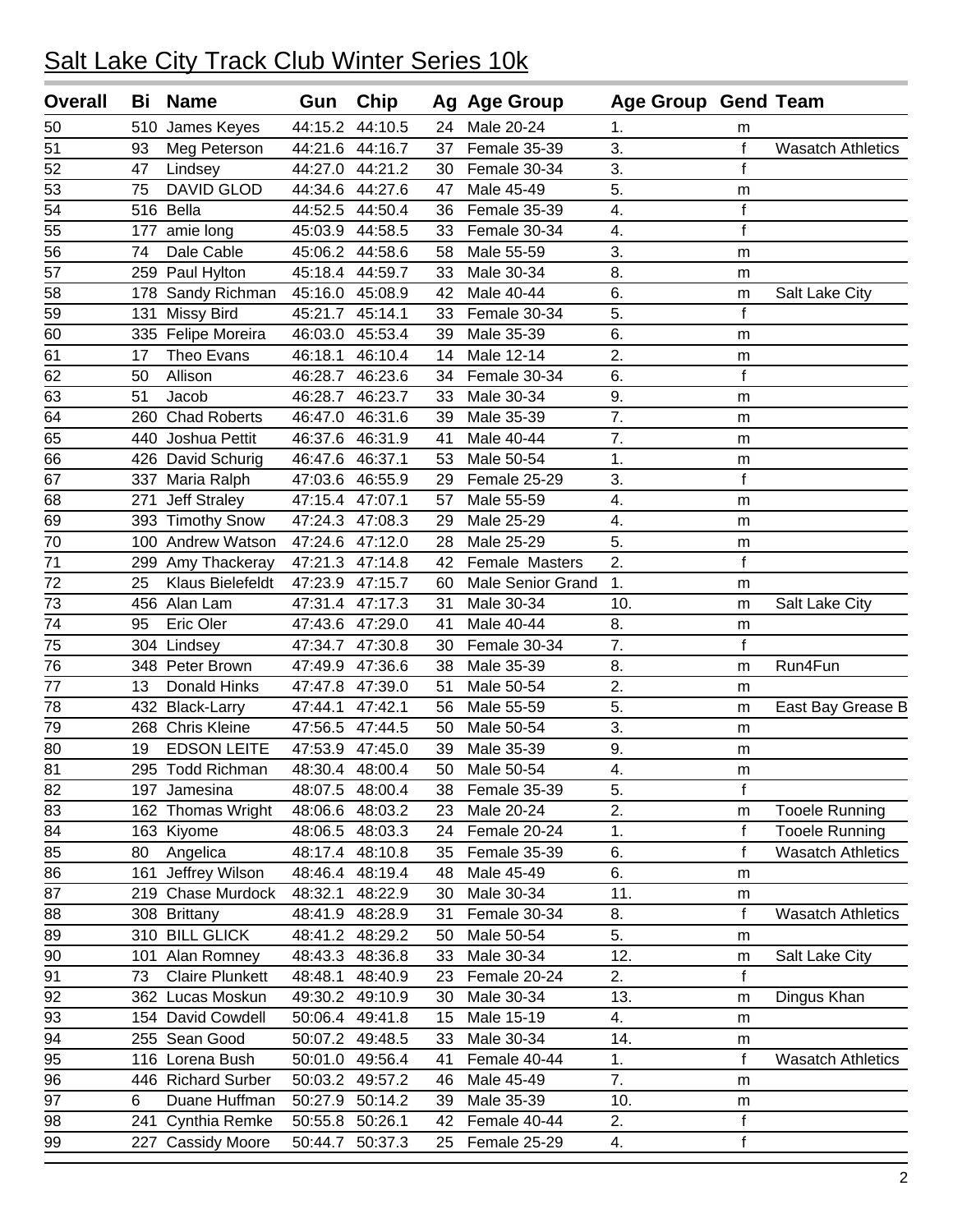| <b>Overall</b>  | Bi  | <b>Name</b>            | Gun     | Chip            |    | Ag Age Group             | <b>Age Group Gend Team</b> |             |                          |
|-----------------|-----|------------------------|---------|-----------------|----|--------------------------|----------------------------|-------------|--------------------------|
| 50              | 510 | James Keyes            | 44:15.2 | 44:10.5         | 24 | Male 20-24               | 1.                         | m           |                          |
| 51              | 93  | Meg Peterson           | 44:21.6 | 44:16.7         | 37 | Female 35-39             | 3.                         | $\mathbf f$ | <b>Wasatch Athletics</b> |
| 52              | 47  | Lindsey                | 44:27.0 | 44:21.2         | 30 | Female 30-34             | 3.                         | $\mathbf f$ |                          |
| 53              | 75  | <b>DAVID GLOD</b>      | 44:34.6 | 44:27.6         | 47 | Male 45-49               | 5.                         | m           |                          |
| 54              |     | 516 Bella              | 44:52.5 | 44:50.4         | 36 | Female 35-39             | 4.                         | $\mathsf f$ |                          |
| 55              | 177 | amie long              |         | 45:03.9 44:58.5 | 33 | Female 30-34             | 4.                         | $\mathbf f$ |                          |
| 56              | 74  | Dale Cable             |         | 45:06.2 44:58.6 | 58 | Male 55-59               | 3.                         | m           |                          |
| $\overline{57}$ |     | 259 Paul Hylton        |         | 45:18.4 44:59.7 | 33 | Male 30-34               | 8.                         | m           |                          |
| 58              | 178 | Sandy Richman          | 45:16.0 | 45:08.9         | 42 | Male 40-44               | 6.                         | m           | Salt Lake City           |
| 59              | 131 | <b>Missy Bird</b>      | 45:21.7 | 45:14.1         | 33 | Female 30-34             | 5.                         | $\mathbf f$ |                          |
| 60              |     | 335 Felipe Moreira     | 46:03.0 | 45:53.4         | 39 | Male 35-39               | 6.                         | m           |                          |
| 61              | 17  | Theo Evans             | 46:18.1 | 46:10.4         | 14 | Male 12-14               | $\overline{2}$ .           | m           |                          |
| 62              | 50  | Allison                | 46:28.7 | 46:23.6         | 34 | Female 30-34             | 6.                         | $\mathsf f$ |                          |
| 63              | 51  | Jacob                  | 46:28.7 | 46:23.7         | 33 | Male 30-34               | 9.                         | m           |                          |
| 64              |     | 260 Chad Roberts       |         | 46:47.0 46:31.6 | 39 | Male 35-39               | 7.                         | m           |                          |
| 65              |     | 440 Joshua Pettit      | 46:37.6 | 46:31.9         | 41 | Male 40-44               | 7.                         | m           |                          |
| 66              |     | 426 David Schurig      | 46:47.6 | 46:37.1         | 53 | Male 50-54               | $\mathbf{1}$ .             | m           |                          |
| 67              |     | 337 Maria Ralph        | 47:03.6 | 46:55.9         | 29 | Female 25-29             | 3.                         | $\mathsf f$ |                          |
| 68              | 271 | Jeff Straley           | 47:15.4 | 47:07.1         | 57 | Male 55-59               | 4.                         | m           |                          |
| 69              |     | 393 Timothy Snow       | 47:24.3 | 47:08.3         | 29 | Male 25-29               | 4.                         | m           |                          |
| 70              |     | 100 Andrew Watson      | 47:24.6 | 47:12.0         | 28 | Male 25-29               | 5.                         | m           |                          |
| 71              |     | 299 Amy Thackeray      | 47:21.3 | 47:14.8         | 42 | Female Masters           | 2.                         | f           |                          |
| 72              | 25  | Klaus Bielefeldt       | 47:23.9 | 47:15.7         | 60 | <b>Male Senior Grand</b> | 1.                         | m           |                          |
| 73              |     | 456 Alan Lam           |         | 47:31.4 47:17.3 | 31 | Male 30-34               | 10.                        | m           | Salt Lake City           |
| 74              | 95  | Eric Oler              | 47:43.6 | 47:29.0         | 41 | Male 40-44               | 8.                         | m           |                          |
| 75              |     | 304 Lindsey            | 47:34.7 | 47:30.8         | 30 | Female 30-34             | 7.                         | $\mathsf f$ |                          |
| 76              |     | 348 Peter Brown        | 47:49.9 | 47:36.6         | 38 | Male 35-39               | 8.                         | m           | Run4Fun                  |
| 77              | 13  | Donald Hinks           | 47:47.8 | 47:39.0         | 51 | Male 50-54               | 2.                         | m           |                          |
| 78              | 432 | <b>Black-Larry</b>     | 47:44.1 | 47:42.1         | 56 | Male 55-59               | 5.                         | m           | East Bay Grease B        |
| 79              |     | 268 Chris Kleine       | 47:56.5 | 47:44.5         | 50 | Male 50-54               | 3.                         | m           |                          |
| 80              | 19  | <b>EDSON LEITE</b>     | 47:53.9 | 47:45.0         | 39 | Male 35-39               | 9.                         | m           |                          |
| 81              |     | 295 Todd Richman       |         | 48:30.4 48:00.4 | 50 | Male 50-54               | 4.                         | m           |                          |
| 82              |     | 197 Jamesina           | 48:07.5 | 48:00.4         | 38 | Female 35-39             | 5.                         | f           |                          |
| 83              |     | 162 Thomas Wright      | 48:06.6 | 48:03.2         | 23 | Male 20-24               | 2.                         | m           | <b>Tooele Running</b>    |
| 84              |     | 163 Kiyome             | 48:06.5 | 48:03.3         | 24 | Female 20-24             | 1.                         | $\mathsf f$ | <b>Tooele Running</b>    |
| 85              | 80  | Angelica               | 48:17.4 | 48:10.8         | 35 | Female 35-39             | 6.                         | $\mathsf f$ | <b>Wasatch Athletics</b> |
| 86              | 161 | Jeffrey Wilson         | 48:46.4 | 48:19.4         | 48 | Male 45-49               | 6.                         | m           |                          |
| 87              |     | 219 Chase Murdock      | 48:32.1 | 48:22.9         | 30 | Male 30-34               | 11.                        | m           |                          |
| 88              |     | 308 Brittany           | 48:41.9 | 48:28.9         | 31 | Female 30-34             | 8.                         | $\mathbf f$ | <b>Wasatch Athletics</b> |
| 89              |     | 310 BILL GLICK         | 48:41.2 | 48:29.2         | 50 | Male 50-54               | 5.                         | m           |                          |
| 90              | 101 | Alan Romney            | 48:43.3 | 48:36.8         | 33 | Male 30-34               | 12.                        | m           | Salt Lake City           |
| 91              | 73  | <b>Claire Plunkett</b> | 48:48.1 | 48:40.9         | 23 | Female 20-24             | 2.                         | f           |                          |
| 92              |     | 362 Lucas Moskun       | 49:30.2 | 49:10.9         | 30 | Male 30-34               | 13.                        | m           | Dingus Khan              |
| 93              |     | 154 David Cowdell      | 50:06.4 | 49:41.8         | 15 | Male 15-19               | 4.                         | m           |                          |
| 94              |     | 255 Sean Good          | 50:07.2 | 49:48.5         | 33 | Male 30-34               | 14.                        | m           |                          |
| 95              |     | 116 Lorena Bush        |         | 50:01.0 49:56.4 | 41 | Female 40-44             | 1.                         | f           | <b>Wasatch Athletics</b> |
| 96              |     | 446 Richard Surber     |         | 50:03.2 49:57.2 | 46 | Male 45-49               | 7.                         | m           |                          |
| 97              | 6   | Duane Huffman          | 50:27.9 | 50:14.2         | 39 | Male 35-39               | 10.                        | m           |                          |
| 98              | 241 | Cynthia Remke          | 50:55.8 | 50:26.1         | 42 | Female 40-44             | 2.                         | $\mathsf f$ |                          |
| 99              | 227 | <b>Cassidy Moore</b>   | 50:44.7 | 50:37.3         | 25 | Female 25-29             | 4.                         | $\mathsf f$ |                          |
|                 |     |                        |         |                 |    |                          |                            |             |                          |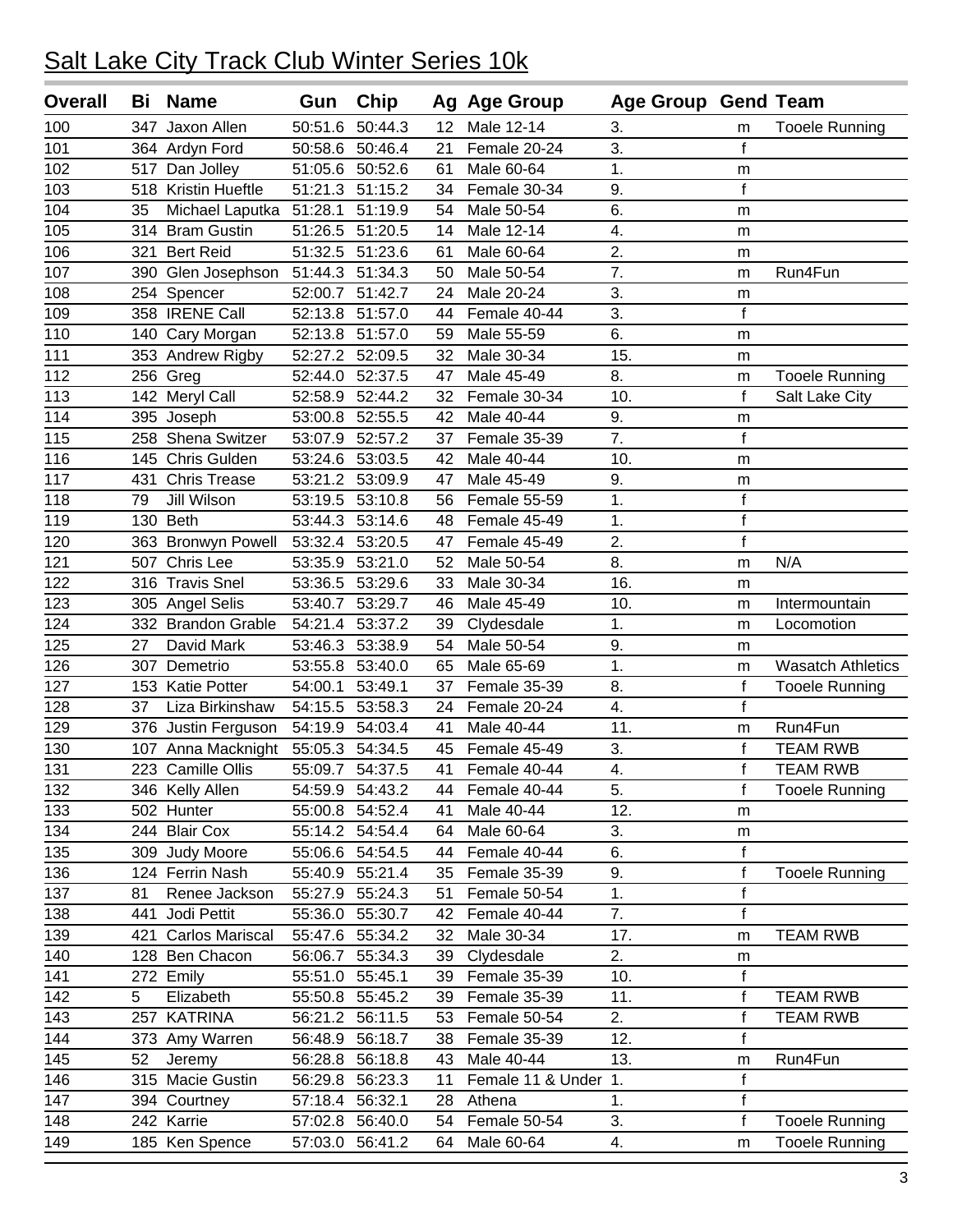| <b>Overall</b> | Bi  | <b>Name</b>         | Gun     | Chip            |                 | Ag Age Group         | <b>Age Group Gend Team</b> |              |                          |
|----------------|-----|---------------------|---------|-----------------|-----------------|----------------------|----------------------------|--------------|--------------------------|
| 100            | 347 | Jaxon Allen         | 50:51.6 | 50:44.3         | 12 <sub>2</sub> | Male 12-14           | 3.                         | m            | <b>Tooele Running</b>    |
| 101            |     | 364 Ardyn Ford      | 50:58.6 | 50:46.4         | 21              | Female 20-24         | 3.                         | $\mathsf f$  |                          |
| 102            | 517 | Dan Jolley          | 51:05.6 | 50:52.6         | 61              | Male 60-64           | 1.                         | m            |                          |
| 103            |     | 518 Kristin Hueftle | 51:21.3 | 51:15.2         | 34              | Female 30-34         | 9.                         | $\mathsf{f}$ |                          |
| 104            | 35  | Michael Laputka     | 51:28.1 | 51:19.9         | 54              | Male 50-54           | 6.                         | m            |                          |
| 105            |     | 314 Bram Gustin     | 51:26.5 | 51:20.5         | 14              | Male 12-14           | 4.                         | m            |                          |
| 106            | 321 | <b>Bert Reid</b>    | 51:32.5 | 51:23.6         | 61              | Male 60-64           | $\overline{2}$ .           | m            |                          |
| 107            | 390 | Glen Josephson      | 51:44.3 | 51:34.3         | 50              | Male 50-54           | 7.                         | m            | Run4Fun                  |
| 108            | 254 | Spencer             | 52:00.7 | 51:42.7         | 24              | Male 20-24           | 3.                         | m            |                          |
| 109            |     | 358 IRENE Call      | 52:13.8 | 51:57.0         | 44              | Female 40-44         | 3.                         | $\mathsf f$  |                          |
| 110            | 140 | Cary Morgan         | 52:13.8 | 51:57.0         | 59              | Male 55-59           | 6.                         | m            |                          |
| 111            |     | 353 Andrew Rigby    | 52:27.2 | 52:09.5         | 32              | Male 30-34           | 15.                        | m            |                          |
| 112            |     | $256$ Greg          | 52:44.0 | 52:37.5         | 47              | Male 45-49           | 8.                         | m            | <b>Tooele Running</b>    |
| 113            |     | 142 Meryl Call      | 52:58.9 | 52:44.2         | 32              | Female 30-34         | 10.                        | f            | Salt Lake City           |
| 114            |     | 395 Joseph          | 53:00.8 | 52:55.5         | 42              | Male 40-44           | 9.                         | m            |                          |
| 115            | 258 | Shena Switzer       | 53:07.9 | 52:57.2         | 37              | Female 35-39         | 7.                         | $\mathsf f$  |                          |
| 116            | 145 | Chris Gulden        | 53:24.6 | 53:03.5         | 42              | Male 40-44           | 10.                        | m            |                          |
| 117            | 431 | <b>Chris Trease</b> | 53:21.2 | 53:09.9         | 47              | Male 45-49           | 9.                         | m            |                          |
| 118            | 79  | Jill Wilson         | 53:19.5 | 53:10.8         | 56              | Female 55-59         | 1.                         | $\mathsf f$  |                          |
| 119            | 130 | <b>Beth</b>         | 53:44.3 | 53:14.6         | 48              | Female 45-49         | 1.                         | $\mathsf f$  |                          |
| 120            |     | 363 Bronwyn Powell  | 53:32.4 | 53:20.5         | 47              | Female 45-49         | 2.                         | $\mathsf{f}$ |                          |
| 121            | 507 | Chris Lee           | 53:35.9 | 53:21.0         | 52              | Male 50-54           | 8.                         | m            | N/A                      |
| 122            | 316 | <b>Travis Snel</b>  | 53:36.5 | 53:29.6         | 33              | Male 30-34           | 16.                        | m            |                          |
| 123            |     | 305 Angel Selis     | 53:40.7 | 53:29.7         | 46              | Male 45-49           | 10.                        | m            | Intermountain            |
| 124            |     | 332 Brandon Grable  | 54:21.4 | 53:37.2         | 39              | Clydesdale           | 1.                         | m            | Locomotion               |
| 125            | 27  | David Mark          | 53:46.3 | 53:38.9         | 54              | Male 50-54           | 9.                         | m            |                          |
| 126            | 307 | Demetrio            | 53:55.8 | 53:40.0         | 65              | Male 65-69           | 1.                         | m            | <b>Wasatch Athletics</b> |
| 127            |     | 153 Katie Potter    | 54:00.1 | 53:49.1         | 37              | Female 35-39         | 8.                         | $\mathsf f$  | <b>Tooele Running</b>    |
| 128            | 37  | Liza Birkinshaw     | 54:15.5 | 53:58.3         | 24              | Female 20-24         | 4.                         | $\mathsf f$  |                          |
| 129            |     | 376 Justin Ferguson | 54:19.9 | 54:03.4         | 41              | Male 40-44           | 11.                        | m            | Run4Fun                  |
| 130            |     | 107 Anna Macknight  | 55:05.3 | 54:34.5         | 45              | Female 45-49         | 3.                         | $\mathsf f$  | <b>TEAM RWB</b>          |
| 131            |     | 223 Camille Ollis   | 55:09.7 | 54:37.5         | 41              | Female 40-44         | 4.                         | f            | <b>TEAM RWB</b>          |
| 132            |     | 346 Kelly Allen     |         | 54:59.9 54:43.2 | 44              | Female 40-44         | 5.                         | f            | <b>Tooele Running</b>    |
| 133            |     | 502 Hunter          | 55:00.8 | 54:52.4         | 41              | Male 40-44           | 12.                        | m            |                          |
| 134            |     | 244 Blair Cox       |         | 55:14.2 54:54.4 | 64              | Male 60-64           | 3.                         | m            |                          |
| 135            |     | 309 Judy Moore      |         | 55:06.6 54:54.5 | 44              | Female 40-44         | 6.                         | $\mathsf f$  |                          |
| 136            |     | 124 Ferrin Nash     |         | 55:40.9 55:21.4 | 35              | Female 35-39         | 9.                         | $\mathsf f$  | <b>Tooele Running</b>    |
| 137            | 81  | Renee Jackson       |         | 55:27.9 55:24.3 | 51              | Female 50-54         | 1.                         | $\mathsf f$  |                          |
| 138            | 441 | Jodi Pettit         |         | 55:36.0 55:30.7 | 42              | Female 40-44         | 7.                         | $\mathsf f$  |                          |
| 139            | 421 | Carlos Mariscal     |         | 55:47.6 55:34.2 | 32              | Male 30-34           | 17.                        | m            | TEAM RWB                 |
| 140            |     | 128 Ben Chacon      | 56:06.7 | 55:34.3         | 39              | Clydesdale           | 2.                         | m            |                          |
| 141            |     | 272 Emily           | 55:51.0 | 55:45.1         | 39              | Female 35-39         | 10.                        | $\mathsf f$  |                          |
| 142            | 5   | Elizabeth           | 55:50.8 | 55:45.2         | 39              | Female 35-39         | 11.                        | $\mathsf f$  | <b>TEAM RWB</b>          |
| 143            | 257 | <b>KATRINA</b>      |         | 56:21.2 56:11.5 | 53              | Female 50-54         | 2.                         | $\mathsf f$  | TEAM RWB                 |
| 144            |     | 373 Amy Warren      | 56:48.9 | 56:18.7         | 38              | Female 35-39         | 12.                        | $\mathsf f$  |                          |
| 145            | 52  | Jeremy              | 56:28.8 | 56:18.8         | 43              | Male 40-44           | 13.                        | m            | Run4Fun                  |
| 146            |     | 315 Macie Gustin    |         | 56:29.8 56:23.3 | 11              | Female 11 & Under 1. |                            | $\mathsf f$  |                          |
| 147            |     | 394 Courtney        |         | 57:18.4 56:32.1 | 28              | Athena               | 1.                         | $\mathsf f$  |                          |
| 148            |     | 242 Karrie          |         | 57:02.8 56:40.0 | 54              | Female 50-54         | 3.                         | $\mathsf f$  | <b>Tooele Running</b>    |
| 149            |     | 185 Ken Spence      |         | 57:03.0 56:41.2 | 64              | Male 60-64           | 4.                         | m            | <b>Tooele Running</b>    |
|                |     |                     |         |                 |                 |                      |                            |              |                          |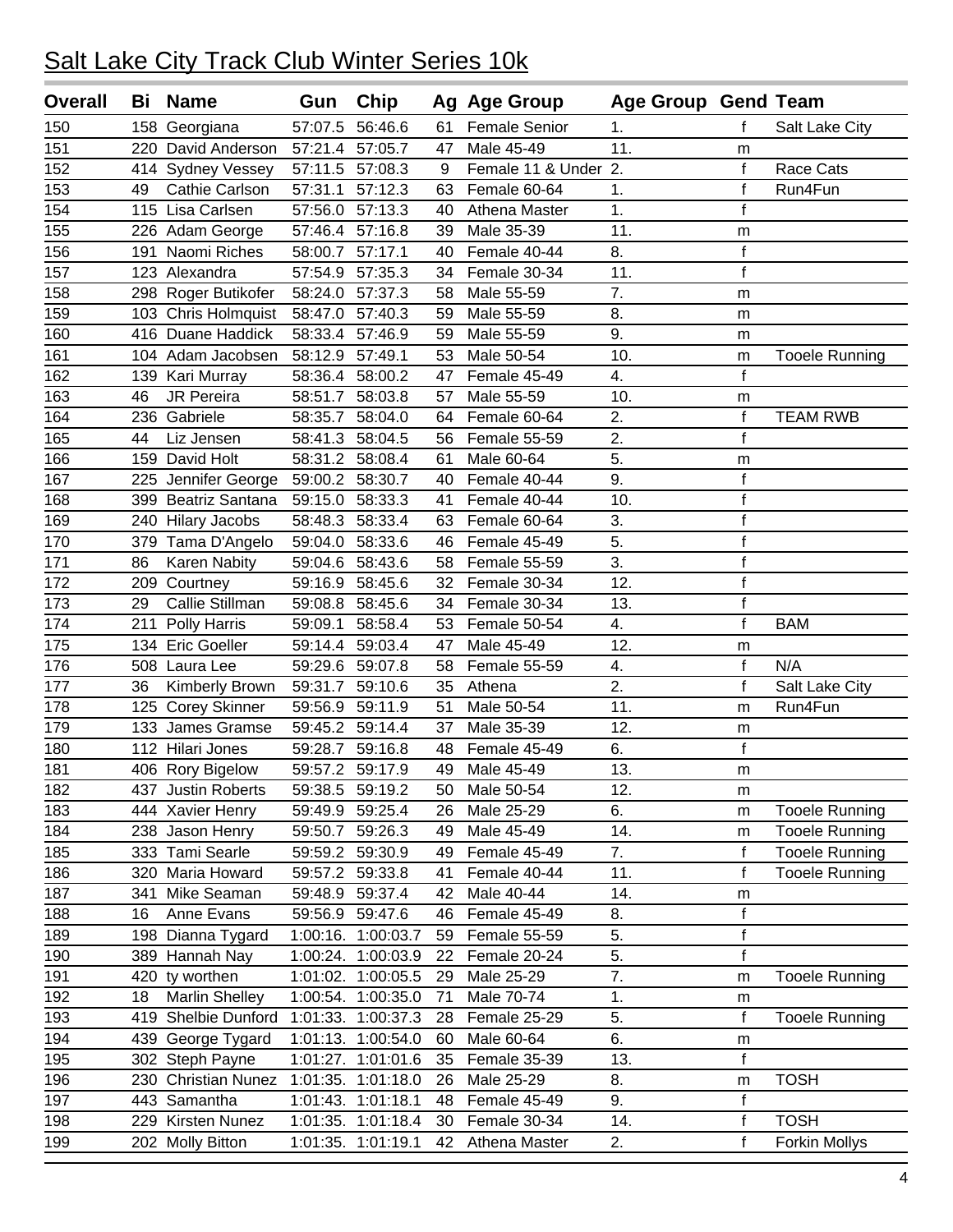| <b>Overall</b> | Bi  | <b>Name</b>            | Gun      | Chip               |    | Ag Age Group         | <b>Age Group Gend Team</b> |              |                       |
|----------------|-----|------------------------|----------|--------------------|----|----------------------|----------------------------|--------------|-----------------------|
| 150            | 158 | Georgiana              | 57:07.5  | 56:46.6            | 61 | <b>Female Senior</b> | 1.                         | f            | Salt Lake City        |
| 151            | 220 | David Anderson         | 57:21.4  | 57:05.7            | 47 | Male 45-49           | 11.                        | m            |                       |
| 152            |     | 414 Sydney Vessey      | 57:11.5  | 57:08.3            | 9  | Female 11 & Under 2. |                            | $\mathsf f$  | Race Cats             |
| 153            | 49  | Cathie Carlson         | 57:31.1  | 57:12.3            | 63 | Female 60-64         | 1.                         | $\mathsf f$  | Run4Fun               |
| 154            | 115 | Lisa Carlsen           | 57:56.0  | 57:13.3            | 40 | Athena Master        | 1.                         | $\mathbf f$  |                       |
| 155            |     | 226 Adam George        | 57:46.4  | 57:16.8            | 39 | Male 35-39           | 11.                        | m            |                       |
| 156            | 191 | Naomi Riches           | 58:00.7  | 57:17.1            | 40 | Female 40-44         | 8.                         | $\mathsf f$  |                       |
| 157            |     | 123 Alexandra          | 57:54.9  | 57:35.3            | 34 | Female 30-34         | 11.                        | $\mathsf f$  |                       |
| 158            | 298 | Roger Butikofer        | 58:24.0  | 57:37.3            | 58 | Male 55-59           | 7.                         | m            |                       |
| 159            |     | 103 Chris Holmquist    | 58:47.0  | 57:40.3            | 59 | Male 55-59           | 8.                         | m            |                       |
| 160            | 416 | Duane Haddick          | 58:33.4  | 57:46.9            | 59 | Male 55-59           | 9.                         | m            |                       |
| 161            |     | 104 Adam Jacobsen      | 58:12.9  | 57:49.1            | 53 | Male 50-54           | 10.                        | m            | <b>Tooele Running</b> |
| 162            |     | 139 Kari Murray        | 58:36.4  | 58:00.2            | 47 | Female 45-49         | 4.                         | $\mathbf f$  |                       |
| 163            | 46  | JR Pereira             | 58:51.7  | 58:03.8            | 57 | Male 55-59           | 10.                        | m            |                       |
| 164            | 236 | Gabriele               | 58:35.7  | 58:04.0            | 64 | Female 60-64         | 2.                         | $\mathbf f$  | <b>TEAM RWB</b>       |
| 165            | 44  | Liz Jensen             | 58:41.3  | 58:04.5            | 56 | Female 55-59         | 2.                         | $\mathsf{f}$ |                       |
| 166            | 159 | David Holt             | 58:31.2  | 58:08.4            | 61 | Male 60-64           | 5.                         | m            |                       |
| 167            | 225 | Jennifer George        | 59:00.2  | 58:30.7            | 40 | Female 40-44         | 9.                         | $\mathsf f$  |                       |
| 168            | 399 | Beatriz Santana        | 59:15.0  | 58:33.3            | 41 | Female 40-44         | 10.                        | $\mathsf f$  |                       |
| 169            | 240 | <b>Hilary Jacobs</b>   | 58:48.3  | 58:33.4            | 63 | Female 60-64         | 3.                         | $\mathsf f$  |                       |
| 170            |     | 379 Tama D'Angelo      | 59:04.0  | 58:33.6            | 46 | Female 45-49         | 5.                         | $\mathsf f$  |                       |
| 171            | 86  | Karen Nabity           | 59:04.6  | 58:43.6            | 58 | Female 55-59         | $\overline{3}$ .           | $\mathsf f$  |                       |
| 172            | 209 | Courtney               | 59:16.9  | 58:45.6            | 32 | Female 30-34         | 12.                        | $\mathsf f$  |                       |
| 173            | 29  | Callie Stillman        | 59:08.8  | 58:45.6            | 34 | Female 30-34         | 13.                        | $\mathsf f$  |                       |
| 174            | 211 | Polly Harris           | 59:09.1  | 58:58.4            | 53 | Female 50-54         | 4.                         | $\mathsf{f}$ | <b>BAM</b>            |
| 175            |     | 134 Eric Goeller       | 59:14.4  | 59:03.4            | 47 | Male 45-49           | 12.                        | m            |                       |
| 176            |     | 508 Laura Lee          | 59:29.6  | 59:07.8            | 58 | Female 55-59         | 4.                         | $\mathsf f$  | N/A                   |
| 177            | 36  | Kimberly Brown         | 59:31.7  | 59:10.6            | 35 | Athena               | 2.                         | $\mathbf f$  | Salt Lake City        |
| 178            | 125 | <b>Corey Skinner</b>   | 59:56.9  | 59:11.9            | 51 | Male 50-54           | 11.                        | m            | Run4Fun               |
| 179            |     | 133 James Gramse       | 59:45.2  | 59:14.4            | 37 | Male 35-39           | 12.                        | m            |                       |
| 180            | 112 | Hilari Jones           | 59:28.7  | 59:16.8            | 48 | Female 45-49         | 6.                         | $\mathsf f$  |                       |
| 181            |     | 406 Rory Bigelow       |          | 59:57.2 59:17.9    | 49 | Male 45-49           | 13.                        | m            |                       |
| 182            | 437 | <b>Justin Roberts</b>  | 59:38.5  | 59:19.2            | 50 | Male 50-54           | 12.                        | m            |                       |
| 183            | 444 | <b>Xavier Henry</b>    | 59:49.9  | 59:25.4            | 26 | Male 25-29           | 6.                         | m            | <b>Tooele Running</b> |
| 184            |     | 238 Jason Henry        | 59:50.7  | 59:26.3            | 49 | Male 45-49           | 14.                        | m            | <b>Tooele Running</b> |
| 185            |     | 333 Tami Searle        | 59:59.2  | 59:30.9            | 49 | Female 45-49         | 7.                         | $\mathsf f$  | <b>Tooele Running</b> |
| 186            | 320 | Maria Howard           |          | 59:57.2 59:33.8    | 41 | Female 40-44         | 11.                        | f            | <b>Tooele Running</b> |
| 187            | 341 | Mike Seaman            | 59:48.9  | 59:37.4            | 42 | Male 40-44           | 14.                        | m            |                       |
| 188            | 16  | Anne Evans             | 59:56.9  | 59:47.6            | 46 | Female 45-49         | 8.                         | $\mathsf f$  |                       |
| 189            |     | 198 Dianna Tygard      |          | 1:00:16. 1:00:03.7 | 59 | Female 55-59         | 5.                         | $\mathsf f$  |                       |
| 190            | 389 | Hannah Nay             | 1:00:24. | 1:00:03.9          | 22 | Female 20-24         | 5.                         | $\mathsf f$  |                       |
| 191            | 420 | ty worthen             | 1:01:02. | 1:00:05.5          | 29 | Male 25-29           | 7.                         | m            | <b>Tooele Running</b> |
| 192            | 18  | <b>Marlin Shelley</b>  | 1:00:54. | 1:00:35.0          | 71 | Male 70-74           | 1.                         | m            |                       |
| 193            | 419 | Shelbie Dunford        | 1:01:33. | 1:00:37.3          | 28 | Female 25-29         | 5.                         | $\mathsf f$  | <b>Tooele Running</b> |
| 194            | 439 | George Tygard          | 1:01:13. | 1:00:54.0          | 60 | Male 60-64           | 6.                         | m            |                       |
| 195            | 302 | Steph Payne            | 1:01:27. | 1:01:01.6          | 35 | Female 35-39         | 13.                        | $\mathsf f$  |                       |
| 196            | 230 | <b>Christian Nunez</b> | 1:01:35. | 1:01:18.0          | 26 | Male 25-29           | 8.                         | m            | <b>TOSH</b>           |
| 197            | 443 | Samantha               | 1:01:43. | 1:01:18.1          | 48 | Female 45-49         | 9.                         | $\mathsf f$  |                       |
| 198            | 229 | Kirsten Nunez          |          | 1:01:35. 1:01:18.4 | 30 | Female 30-34         | 14.                        | $\mathsf f$  | <b>TOSH</b>           |
| 199            | 202 | <b>Molly Bitton</b>    | 1:01:35. | 1:01:19.1          | 42 | Athena Master        | 2.                         | $\mathsf f$  | Forkin Mollys         |
|                |     |                        |          |                    |    |                      |                            |              |                       |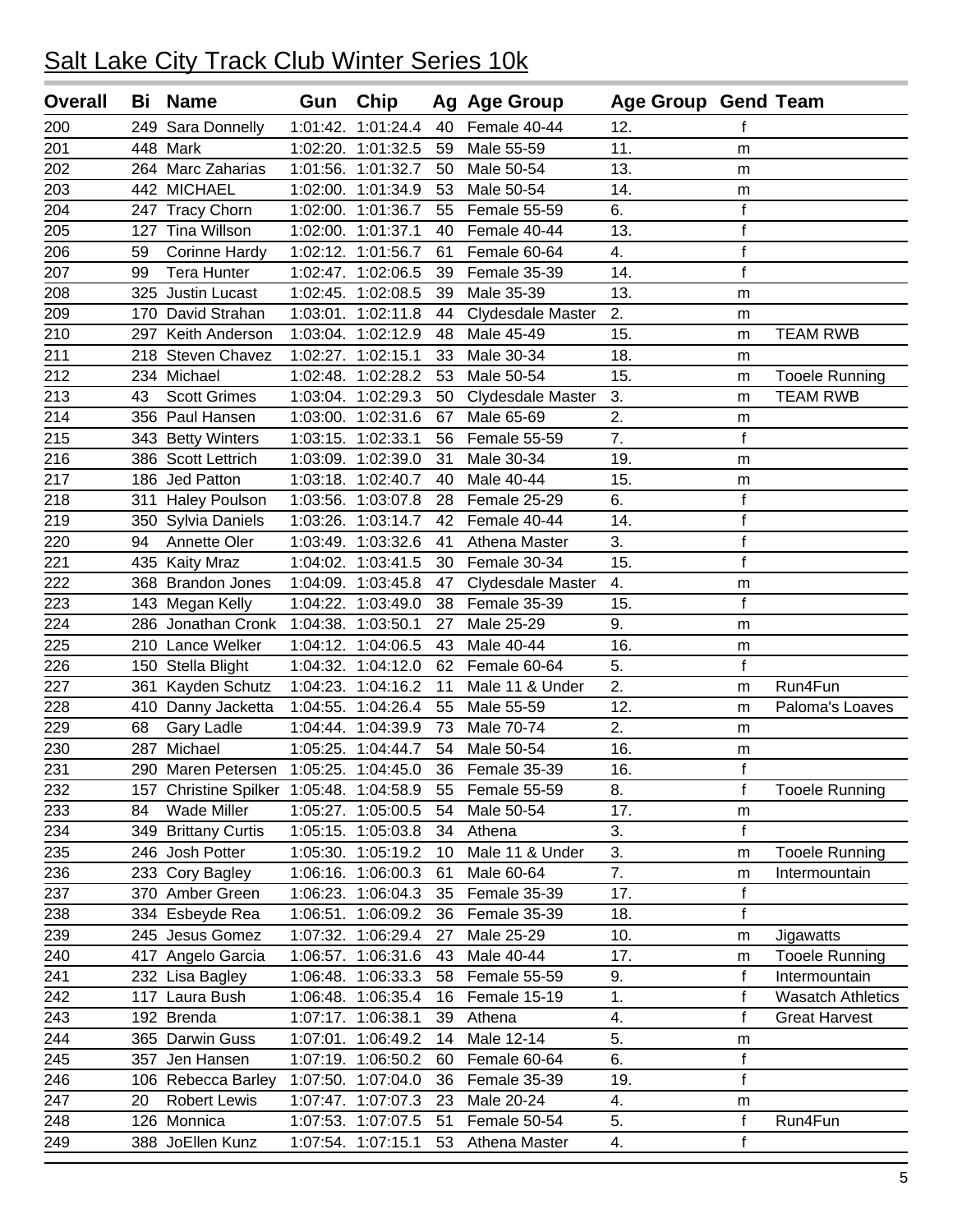| <b>Overall</b> | Bi  | <b>Name</b>                              | Gun         | Chip               |    | Ag Age Group      | <b>Age Group Gend Team</b> |              |                          |
|----------------|-----|------------------------------------------|-------------|--------------------|----|-------------------|----------------------------|--------------|--------------------------|
| 200            | 249 | Sara Donnelly                            | 1:01:42.    | 1:01:24.4          | 40 | Female 40-44      | 12.                        | f            |                          |
| 201            |     | 448 Mark                                 | 1:02:20.    | 1:01:32.5          | 59 | Male 55-59        | 11.                        | m            |                          |
| 202            |     | 264 Marc Zaharias                        |             | 1:01:56. 1:01:32.7 | 50 | Male 50-54        | 13.                        | m            |                          |
| 203            | 442 | <b>MICHAEL</b>                           |             | 1:02:00. 1:01:34.9 | 53 | Male 50-54        | 14.                        | m            |                          |
| 204            | 247 | <b>Tracy Chorn</b>                       |             | 1:02:00. 1:01:36.7 | 55 | Female 55-59      | 6.                         | $\mathsf f$  |                          |
| 205            | 127 | Tina Willson                             |             | 1:02:00. 1:01:37.1 | 40 | Female 40-44      | 13.                        | $\mathsf f$  |                          |
| 206            | 59  | <b>Corinne Hardy</b>                     |             | 1:02:12. 1:01:56.7 | 61 | Female 60-64      | 4.                         | $\mathsf f$  |                          |
| 207            | 99  | <b>Tera Hunter</b>                       |             | 1:02:47. 1:02:06.5 | 39 | Female 35-39      | 14.                        | $\mathsf f$  |                          |
| 208            | 325 | Justin Lucast                            |             | 1:02:45. 1:02:08.5 | 39 | Male 35-39        | 13.                        | m            |                          |
| 209            | 170 | David Strahan                            |             | 1:03:01. 1:02:11.8 | 44 | Clydesdale Master | 2.                         | m            |                          |
| 210            | 297 | Keith Anderson                           |             | 1:03:04. 1:02:12.9 | 48 | Male 45-49        | 15.                        | m            | <b>TEAM RWB</b>          |
| 211            | 218 | Steven Chavez                            |             | 1:02:27. 1:02:15.1 | 33 | Male 30-34        | 18.                        | m            |                          |
| 212            |     | 234 Michael                              | 1:02:48.    | 1:02:28.2          | 53 | Male 50-54        | 15.                        | m            | <b>Tooele Running</b>    |
| 213            | 43  | <b>Scott Grimes</b>                      |             | 1:03:04. 1:02:29.3 | 50 | Clydesdale Master | 3.                         | m            | <b>TEAM RWB</b>          |
| 214            |     | 356 Paul Hansen                          |             | 1:03:00. 1:02:31.6 | 67 | Male 65-69        | 2.                         | m            |                          |
| 215            |     | 343 Betty Winters                        |             | 1:03:15. 1:02:33.1 | 56 | Female 55-59      | 7.                         | f            |                          |
| 216            |     | 386 Scott Lettrich                       | 1:03:09.    | 1:02:39.0          | 31 | Male 30-34        | 19.                        | m            |                          |
| 217            |     | 186 Jed Patton                           | 1:03:18.    | 1:02:40.7          | 40 | Male 40-44        | 15.                        | m            |                          |
| 218            | 311 | <b>Haley Poulson</b>                     | 1:03:56.    | 1:03:07.8          | 28 | Female 25-29      | 6.                         | $\mathsf f$  |                          |
| 219            | 350 | <b>Sylvia Daniels</b>                    | 1:03:26.    | 1:03:14.7          | 42 | Female 40-44      | 14.                        | $\mathsf f$  |                          |
| 220            | 94  | Annette Oler                             |             | 1:03:49. 1:03:32.6 | 41 | Athena Master     | 3.                         | $\mathsf f$  |                          |
| 221            | 435 | <b>Kaity Mraz</b>                        |             | 1:04:02. 1:03:41.5 | 30 | Female 30-34      | 15.                        | $\mathsf f$  |                          |
| 222            |     | 368 Brandon Jones                        |             | 1:04:09. 1:03:45.8 | 47 | Clydesdale Master | 4.                         | m            |                          |
| 223            |     | 143 Megan Kelly                          |             | 1:04:22. 1:03:49.0 | 38 | Female 35-39      | 15.                        | $\mathbf f$  |                          |
| 224            |     | 286 Jonathan Cronk 1:04:38. 1:03:50.1    |             |                    | 27 | Male 25-29        | 9.                         | m            |                          |
| 225            |     | 210 Lance Welker                         |             | 1:04:12. 1:04:06.5 | 43 | Male 40-44        | 16.                        | m            |                          |
| 226            | 150 | Stella Blight                            | 1:04:32.    | 1:04:12.0          | 62 | Female 60-64      | 5.                         | $\mathsf f$  |                          |
| 227            | 361 | Kayden Schutz                            |             | 1:04:23. 1:04:16.2 | 11 | Male 11 & Under   | 2.                         | m            | Run4Fun                  |
| 228            | 410 | Danny Jacketta                           | $1:04:55$ . | 1:04:26.4          | 55 | Male 55-59        | 12.                        | m            | Paloma's Loaves          |
| 229            | 68  | Gary Ladle                               |             | 1:04:44. 1:04:39.9 | 73 | Male 70-74        | 2.                         | m            |                          |
| 230            | 287 | Michael                                  | 1:05:25.    | 1:04:44.7          | 54 | Male 50-54        | 16.                        | m            |                          |
| 231            | 290 | Maren Petersen 1:05:25. 1:04:45.0        |             |                    | 36 | Female 35-39      | 16.                        | $\mathbf f$  |                          |
| 232            |     | 157 Christine Spilker 1:05:48. 1:04:58.9 |             |                    | 55 | Female 55-59      | 8.                         | f            | <b>Tooele Running</b>    |
| 233            | 84  | <b>Wade Miller</b>                       |             | 1:05:27. 1:05:00.5 | 54 | Male 50-54        | 17.                        | m            |                          |
| 234            | 349 | <b>Brittany Curtis</b>                   |             | 1:05:15. 1:05:03.8 | 34 | Athena            | 3.                         | $\mathsf{f}$ |                          |
| 235            |     | 246 Josh Potter                          |             | 1:05:30. 1:05:19.2 | 10 | Male 11 & Under   | 3.                         | m            | <b>Tooele Running</b>    |
| 236            |     | 233 Cory Bagley                          |             | 1:06:16. 1:06:00.3 | 61 | Male 60-64        | 7.                         | m            | Intermountain            |
| 237            |     | 370 Amber Green                          |             | 1:06:23. 1:06:04.3 | 35 | Female 35-39      | 17.                        | $\mathsf f$  |                          |
| 238            |     | 334 Esbeyde Rea                          |             | 1:06:51. 1:06:09.2 | 36 | Female 35-39      | 18.                        | $\mathsf f$  |                          |
| 239            |     | 245 Jesus Gomez                          | 1:07:32.    | 1:06:29.4          | 27 | Male 25-29        | 10.                        | m            | Jigawatts                |
| 240            | 417 | Angelo Garcia                            |             | 1:06:57. 1:06:31.6 | 43 | Male 40-44        | 17.                        | m            | <b>Tooele Running</b>    |
| 241            |     | 232 Lisa Bagley                          | 1:06:48.    | 1:06:33.3          | 58 | Female 55-59      | 9.                         | f            | Intermountain            |
| 242            | 117 | Laura Bush                               | 1:06:48.    | 1:06:35.4          | 16 | Female 15-19      | 1.                         | $\mathsf f$  | <b>Wasatch Athletics</b> |
| 243            |     | 192 Brenda                               |             | 1:07:17. 1:06:38.1 | 39 | Athena            | 4.                         | f            | <b>Great Harvest</b>     |
| 244            |     | 365 Darwin Guss                          |             | 1:07:01. 1:06:49.2 | 14 | Male 12-14        | 5.                         | m            |                          |
| 245            |     | 357 Jen Hansen                           |             | 1:07:19. 1:06:50.2 | 60 | Female 60-64      | 6.                         | $\mathsf f$  |                          |
| 246            |     | 106 Rebecca Barley                       |             | 1:07:50. 1:07:04.0 | 36 | Female 35-39      | 19.                        | $\mathsf f$  |                          |
| 247            | 20  | <b>Robert Lewis</b>                      |             | 1:07:47. 1:07:07.3 | 23 | Male 20-24        | 4.                         | m            |                          |
| 248            |     | 126 Monnica                              |             | 1:07:53. 1:07:07.5 | 51 | Female 50-54      | 5.                         | $\mathsf f$  | Run4Fun                  |
| 249            |     | 388 JoEllen Kunz                         |             | 1:07:54. 1:07:15.1 | 53 | Athena Master     | 4.                         | $\mathsf f$  |                          |
|                |     |                                          |             |                    |    |                   |                            |              |                          |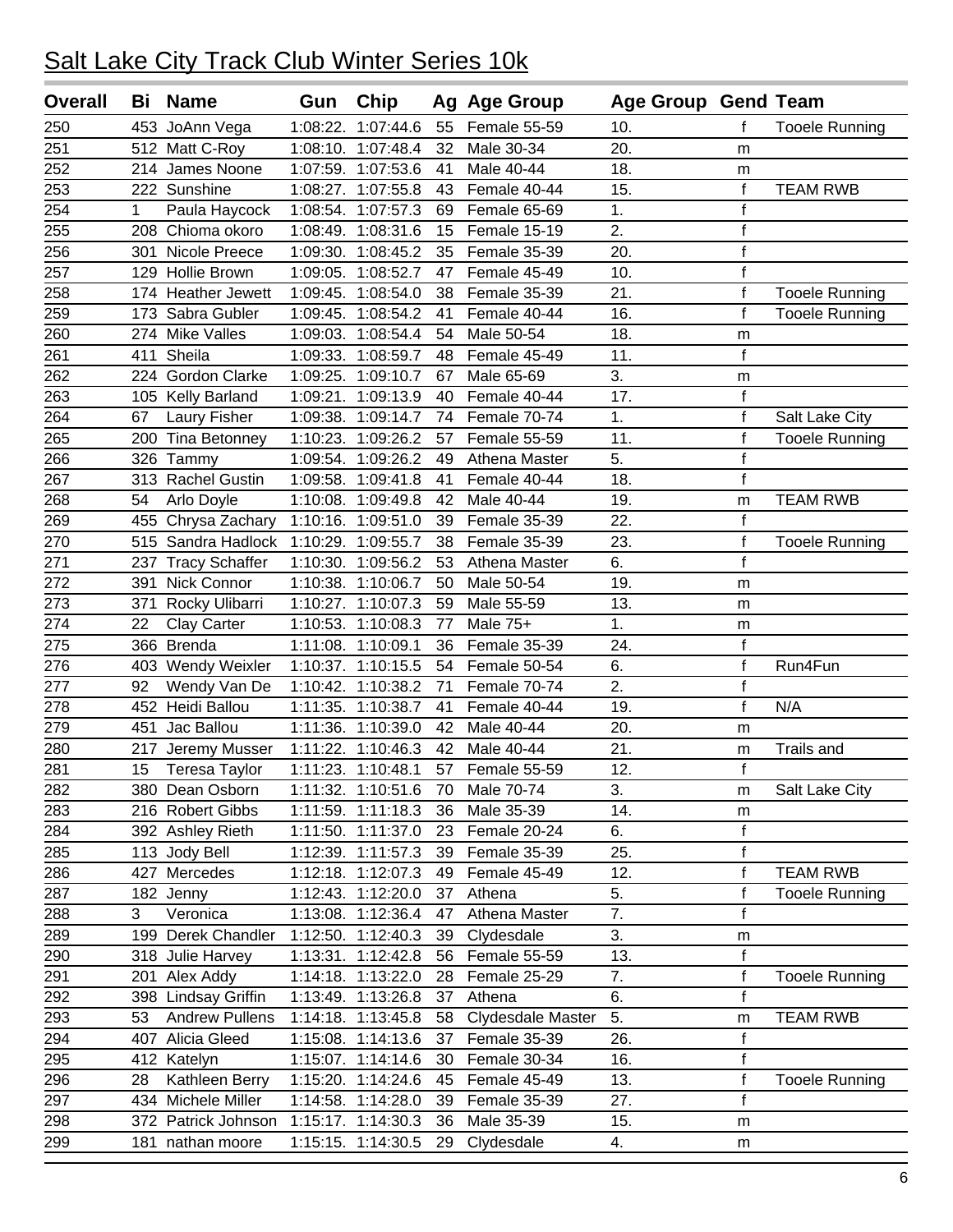| <b>Overall</b> | Bi          | <b>Name</b>           | Gun      | Chip               |    | Ag Age Group      | <b>Age Group Gend Team</b> |              |                       |
|----------------|-------------|-----------------------|----------|--------------------|----|-------------------|----------------------------|--------------|-----------------------|
| 250            |             | 453 JoAnn Vega        | 1:08:22. | 1:07:44.6          | 55 | Female 55-59      | 10.                        | f            | <b>Tooele Running</b> |
| 251            |             | 512 Matt C-Roy        | 1:08:10. | 1:07:48.4          | 32 | Male 30-34        | 20.                        | m            |                       |
| 252            |             | 214 James Noone       |          | 1:07:59. 1:07:53.6 | 41 | Male 40-44        | 18.                        | m            |                       |
| 253            |             | 222 Sunshine          | 1:08:27. | 1:07:55.8          | 43 | Female 40-44      | 15.                        | $\mathsf f$  | <b>TEAM RWB</b>       |
| 254            | $\mathbf 1$ | Paula Haycock         |          | 1:08:54. 1:07:57.3 | 69 | Female 65-69      | 1.                         | f            |                       |
| 255            |             | 208 Chioma okoro      | 1:08:49. | 1:08:31.6          | 15 | Female 15-19      | 2.                         | $\mathsf f$  |                       |
| 256            | 301         | Nicole Preece         | 1:09:30. | 1:08:45.2          | 35 | Female 35-39      | 20.                        | $\mathsf f$  |                       |
| 257            |             | 129 Hollie Brown      |          | 1:09:05. 1:08:52.7 | 47 | Female 45-49      | 10.                        | $\mathsf f$  |                       |
| 258            | 174         | <b>Heather Jewett</b> | 1:09:45. | 1:08:54.0          | 38 | Female 35-39      | 21.                        | $\mathsf f$  | <b>Tooele Running</b> |
| 259            | 173         | Sabra Gubler          | 1:09:45. | 1:08:54.2          | 41 | Female 40-44      | 16.                        | f            | <b>Tooele Running</b> |
| 260            | 274         | <b>Mike Valles</b>    | 1:09:03. | 1:08:54.4          | 54 | Male 50-54        | 18.                        | m            |                       |
| 261            | 411         | Sheila                |          | 1:09:33. 1:08:59.7 | 48 | Female 45-49      | 11.                        | $\mathsf{f}$ |                       |
| 262            | 224         | Gordon Clarke         | 1:09:25. | 1:09:10.7          | 67 | Male 65-69        | 3.                         | m            |                       |
| 263            |             | 105 Kelly Barland     | 1:09:21. | 1:09:13.9          | 40 | Female 40-44      | 17.                        | $\mathbf f$  |                       |
| 264            | 67          | Laury Fisher          | 1:09:38. | 1:09:14.7          | 74 | Female 70-74      | 1.                         | $\mathsf f$  | Salt Lake City        |
| 265            | 200         | Tina Betonney         |          | 1:10:23. 1:09:26.2 | 57 | Female 55-59      | 11.                        | $\mathsf f$  | <b>Tooele Running</b> |
| 266            | 326         | Tammy                 | 1:09:54. | 1:09:26.2          | 49 | Athena Master     | 5.                         | $\mathsf f$  |                       |
| 267            |             | 313 Rachel Gustin     | 1:09:58. | 1:09:41.8          | 41 | Female 40-44      | 18.                        | $\mathsf f$  |                       |
| 268            | 54          | Arlo Doyle            | 1:10:08. | 1:09:49.8          | 42 | Male 40-44        | 19.                        | m            | <b>TEAM RWB</b>       |
| 269            | 455         | Chrysa Zachary        | 1:10:16. | 1:09:51.0          | 39 | Female 35-39      | 22.                        | $\mathbf f$  |                       |
| 270            |             | 515 Sandra Hadlock    | 1:10:29. | 1:09:55.7          | 38 | Female 35-39      | 23.                        | $\mathsf f$  | <b>Tooele Running</b> |
| 271            | 237         | <b>Tracy Schaffer</b> | 1:10:30. | 1:09:56.2          | 53 | Athena Master     | 6.                         | $\mathsf f$  |                       |
| 272            | 391         | Nick Connor           | 1:10:38. | 1:10:06.7          | 50 | Male 50-54        | 19.                        | m            |                       |
| 273            | 371         | Rocky Ulibarri        |          | 1:10:27. 1:10:07.3 | 59 | Male 55-59        | 13.                        | m            |                       |
| 274            | 22          | Clay Carter           | 1:10:53. | 1:10:08.3          | 77 | Male 75+          | 1.                         | m            |                       |
| 275            |             | 366 Brenda            | 1:11:08. | 1:10:09.1          | 36 | Female 35-39      | 24.                        | $\mathsf f$  |                       |
| 276            |             | 403 Wendy Weixler     | 1:10:37. | 1:10:15.5          | 54 | Female 50-54      | 6.                         | $\mathsf f$  | Run4Fun               |
| 277            | 92          | Wendy Van De          | 1:10:42. | 1:10:38.2          | 71 | Female 70-74      | 2.                         | $\mathsf f$  |                       |
| 278            | 452         | Heidi Ballou          | 1:11:35. | 1:10:38.7          | 41 | Female 40-44      | 19.                        | $\mathsf{f}$ | N/A                   |
| 279            | 451         | Jac Ballou            | 1:11:36. | 1:10:39.0          | 42 | Male 40-44        | 20.                        | m            |                       |
| 280            | 217         | Jeremy Musser         | 1:11:22. | 1:10:46.3          | 42 | Male 40-44        | 21.                        | m            | <b>Trails and</b>     |
| 281            | 15          | <b>Teresa Taylor</b>  |          | 1:11:23. 1:10:48.1 | 57 | Female 55-59      | 12.                        | f            |                       |
| 282            |             | 380 Dean Osborn       |          | 1:11:32. 1:10:51.6 | 70 | Male 70-74        | 3.                         | m            | Salt Lake City        |
| 283            |             | 216 Robert Gibbs      |          | 1:11:59. 1:11:18.3 | 36 | Male 35-39        | 14.                        | m            |                       |
| 284            |             | 392 Ashley Rieth      |          | 1:11:50. 1:11:37.0 | 23 | Female 20-24      | 6.                         | $\mathsf f$  |                       |
| 285            |             | 113 Jody Bell         |          | 1:12:39. 1:11:57.3 | 39 | Female 35-39      | 25.                        | $\mathsf f$  |                       |
| 286            |             | 427 Mercedes          |          | 1:12:18. 1:12:07.3 | 49 | Female 45-49      | 12.                        | $\mathsf f$  | <b>TEAM RWB</b>       |
| 287            |             | 182 Jenny             |          | 1:12:43. 1:12:20.0 | 37 | Athena            | 5.                         | f            | <b>Tooele Running</b> |
| 288            | 3           | Veronica              |          | 1:13:08. 1:12:36.4 | 47 | Athena Master     | 7.                         | f            |                       |
| 289            |             | 199 Derek Chandler    |          | 1:12:50. 1:12:40.3 | 39 | Clydesdale        | 3.                         | m            |                       |
| 290            |             | 318 Julie Harvey      |          | 1:13:31. 1:12:42.8 | 56 | Female 55-59      | 13.                        | $\mathsf f$  |                       |
| 291            | 201         | Alex Addy             |          | 1:14:18. 1:13:22.0 | 28 | Female 25-29      | 7.                         | f            | <b>Tooele Running</b> |
| 292            |             | 398 Lindsay Griffin   |          | 1:13:49. 1:13:26.8 | 37 | Athena            | 6.                         | $\mathsf f$  |                       |
| 293            | 53          | <b>Andrew Pullens</b> |          | 1:14:18. 1:13:45.8 | 58 | Clydesdale Master | 5.                         | m            | <b>TEAM RWB</b>       |
| 294            |             | 407 Alicia Gleed      |          | 1:15:08. 1:14:13.6 | 37 | Female 35-39      | 26.                        | $\mathsf f$  |                       |
| 295            |             | 412 Katelyn           |          | 1:15:07. 1:14:14.6 | 30 | Female 30-34      | 16.                        | $\mathsf f$  |                       |
| 296            | 28          | Kathleen Berry        |          | 1:15:20. 1:14:24.6 | 45 | Female 45-49      | 13.                        | $\mathsf f$  | <b>Tooele Running</b> |
| 297            |             | 434 Michele Miller    |          | 1:14:58. 1:14:28.0 | 39 | Female 35-39      | 27.                        | $\mathsf f$  |                       |
| 298            |             | 372 Patrick Johnson   |          | 1:15:17. 1:14:30.3 | 36 | Male 35-39        | 15.                        | m            |                       |
| 299            | 181         | nathan moore          |          | 1:15:15. 1:14:30.5 | 29 | Clydesdale        | 4.                         | m            |                       |
|                |             |                       |          |                    |    |                   |                            |              |                       |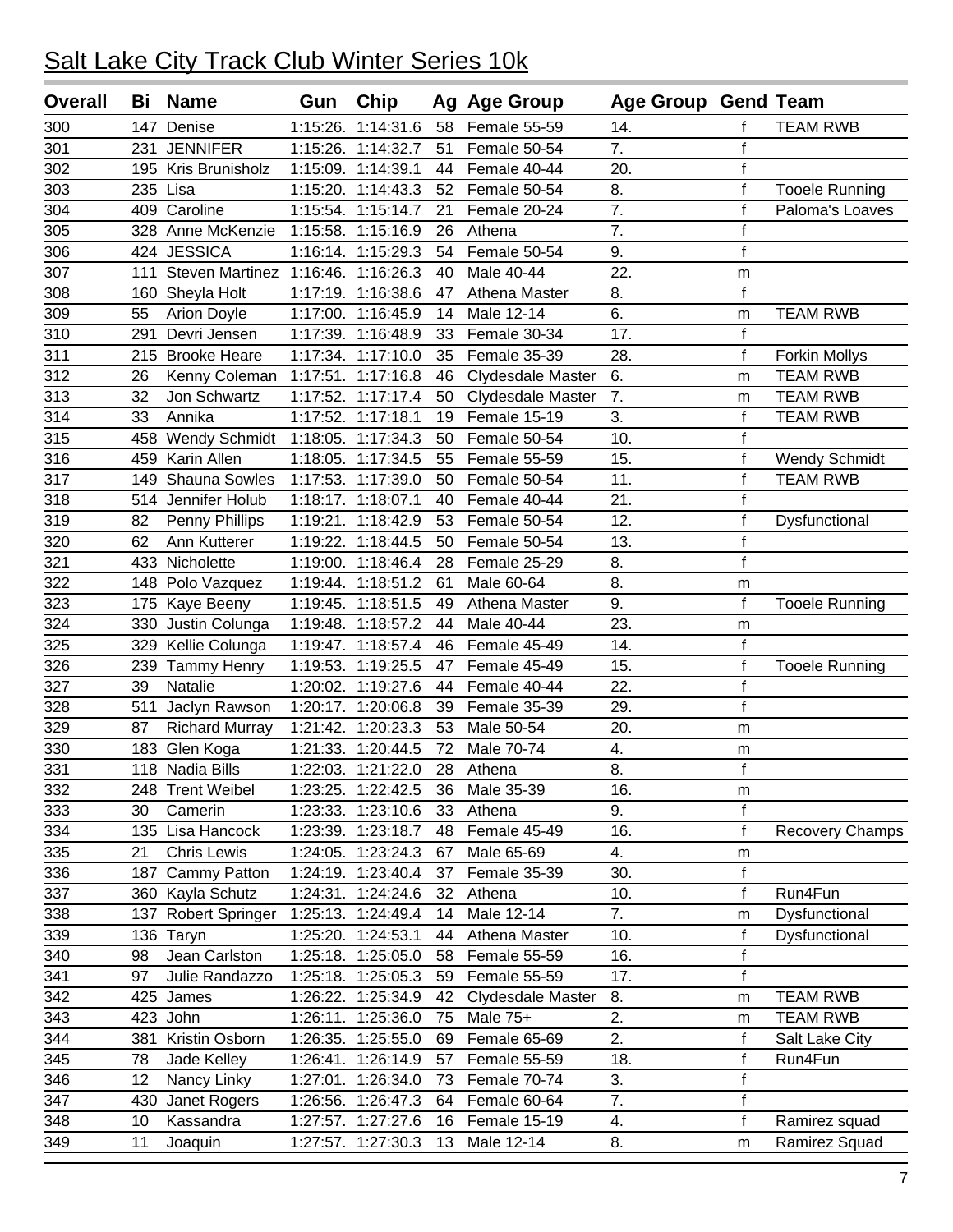| <b>Overall</b> | Bi  | <b>Name</b>                        | Gun      | <b>Chip</b>        |    | Ag Age Group      | <b>Age Group Gend Team</b> |              |                        |
|----------------|-----|------------------------------------|----------|--------------------|----|-------------------|----------------------------|--------------|------------------------|
| 300            | 147 | Denise                             | 1:15:26. | 1:14:31.6          | 58 | Female 55-59      | 14.                        | f            | <b>TEAM RWB</b>        |
| 301            | 231 | <b>JENNIFER</b>                    | 1:15:26. | 1:14:32.7          | 51 | Female 50-54      | $\overline{7}$ .           | $\mathsf f$  |                        |
| 302            |     | 195 Kris Brunisholz                |          | 1:15:09. 1:14:39.1 | 44 | Female 40-44      | 20.                        | $\mathsf f$  |                        |
| 303            |     | 235 Lisa                           | 1:15:20. | 1:14:43.3          | 52 | Female 50-54      | 8.                         | $\mathsf f$  | <b>Tooele Running</b>  |
| 304            | 409 | Caroline                           | 1:15:54. | 1:15:14.7          | 21 | Female 20-24      | 7.                         | f            | Paloma's Loaves        |
| 305            |     | 328 Anne McKenzie                  |          | 1:15:58. 1:15:16.9 | 26 | Athena            | 7.                         | f            |                        |
| 306            |     | 424 JESSICA                        | 1:16:14. | 1:15:29.3          | 54 | Female 50-54      | 9.                         | $\mathsf f$  |                        |
| 307            | 111 | Steven Martinez 1:16:46. 1:16:26.3 |          |                    | 40 | Male 40-44        | 22.                        | m            |                        |
| 308            | 160 | Sheyla Holt                        | 1:17:19. | 1:16:38.6          | 47 | Athena Master     | 8.                         | $\mathsf f$  |                        |
| 309            | 55  | <b>Arion Doyle</b>                 | 1:17:00. | 1:16:45.9          | 14 | Male 12-14        | 6.                         | m            | <b>TEAM RWB</b>        |
| 310            | 291 | Devri Jensen                       | 1:17:39. | 1:16:48.9          | 33 | Female 30-34      | 17.                        | $\mathsf f$  |                        |
| 311            |     | 215 Brooke Heare                   |          | 1:17:34. 1:17:10.0 | 35 | Female 35-39      | 28.                        | $\mathsf f$  | <b>Forkin Mollys</b>   |
| 312            | 26  | Kenny Coleman                      | 1:17:51. | 1:17:16.8          | 46 | Clydesdale Master | 6.                         | m            | <b>TEAM RWB</b>        |
| 313            | 32  | Jon Schwartz                       | 1:17:52. | 1:17:17.4          | 50 | Clydesdale Master | 7.                         | m            | <b>TEAM RWB</b>        |
| 314            | 33  | Annika                             | 1:17:52. | 1:17:18.1          | 19 | Female 15-19      | 3.                         | f            | <b>TEAM RWB</b>        |
| 315            | 458 | <b>Wendy Schmidt</b>               | 1:18:05. | 1:17:34.3          | 50 | Female 50-54      | 10.                        | $\mathsf f$  |                        |
| 316            | 459 | Karin Allen                        | 1:18:05. | 1:17:34.5          | 55 | Female 55-59      | 15.                        | $\mathsf f$  | <b>Wendy Schmidt</b>   |
| 317            | 149 | Shauna Sowles                      | 1:17:53. | 1:17:39.0          | 50 | Female 50-54      | 11.                        | $\mathsf f$  | <b>TEAM RWB</b>        |
| 318            | 514 | Jennifer Holub                     |          | 1:18:17. 1:18:07.1 | 40 | Female 40-44      | 21.                        | $\mathbf f$  |                        |
| 319            | 82  | Penny Phillips                     | 1:19:21. | 1:18:42.9          | 53 | Female 50-54      | 12.                        | $\mathsf f$  | Dysfunctional          |
| 320            | 62  | Ann Kutterer                       |          | 1:19:22. 1:18:44.5 | 50 | Female 50-54      | 13.                        | $\mathsf f$  |                        |
| 321            | 433 | Nicholette                         |          | 1:19:00. 1:18:46.4 | 28 | Female 25-29      | 8.                         | $\mathsf{f}$ |                        |
| 322            | 148 | Polo Vazquez                       | 1:19:44. | 1:18:51.2          | 61 | Male 60-64        | 8.                         | m            |                        |
| 323            | 175 | Kaye Beeny                         |          | 1:19:45. 1:18:51.5 | 49 | Athena Master     | 9.                         | f            | <b>Tooele Running</b>  |
| 324            | 330 | Justin Colunga                     |          | 1:19:48. 1:18:57.2 | 44 | Male 40-44        | 23.                        | m            |                        |
| 325            |     | 329 Kellie Colunga                 |          | 1:19:47. 1:18:57.4 | 46 | Female 45-49      | 14.                        | $\mathbf{f}$ |                        |
| 326            | 239 | <b>Tammy Henry</b>                 | 1:19:53. | 1:19:25.5          | 47 | Female 45-49      | 15.                        | $\mathsf f$  | <b>Tooele Running</b>  |
| 327            | 39  | Natalie                            |          | 1:20:02. 1:19:27.6 | 44 | Female 40-44      | 22.                        | $\mathsf f$  |                        |
| 328            | 511 | Jaclyn Rawson                      | 1:20:17. | 1:20:06.8          | 39 | Female 35-39      | 29.                        | $\mathsf{f}$ |                        |
| 329            | 87  | <b>Richard Murray</b>              |          | 1:21:42. 1:20:23.3 | 53 | Male 50-54        | 20.                        | m            |                        |
| 330            | 183 | Glen Koga                          |          | 1:21:33. 1:20:44.5 | 72 | Male 70-74        | 4.                         | m            |                        |
| 331            |     | 118 Nadia Bills                    |          | 1:22:03. 1:21:22.0 | 28 | Athena            | 8.                         | $\mathsf f$  |                        |
| 332            |     | 248 Trent Weibel                   |          | 1:23:25. 1:22:42.5 | 36 | Male 35-39        | 16.                        | m            |                        |
| 333            | 30  | Camerin                            | 1:23:33. | 1:23:10.6          | 33 | Athena            | 9.                         | $\mathsf{f}$ |                        |
| 334            |     | 135 Lisa Hancock                   |          | 1:23:39. 1:23:18.7 | 48 | Female 45-49      | 16.                        | $\mathsf f$  | <b>Recovery Champs</b> |
| 335            | 21  | <b>Chris Lewis</b>                 | 1:24:05. | 1:23:24.3          | 67 | Male 65-69        | 4.                         | m            |                        |
| 336            | 187 | Cammy Patton                       |          | 1:24:19. 1:23:40.4 | 37 | Female 35-39      | 30.                        | $\mathsf{f}$ |                        |
| 337            |     | 360 Kayla Schutz                   |          | 1:24:31. 1:24:24.6 | 32 | Athena            | 10.                        | f            | Run4Fun                |
| 338            | 137 | <b>Robert Springer</b>             |          | 1:25:13. 1:24:49.4 | 14 | Male 12-14        | 7.                         | m            | Dysfunctional          |
| 339            |     | 136 Taryn                          |          | 1:25:20. 1:24:53.1 | 44 | Athena Master     | 10.                        | f            | Dysfunctional          |
| 340            | 98  | Jean Carlston                      | 1:25:18. | 1:25:05.0          | 58 | Female 55-59      | 16.                        | $\mathsf f$  |                        |
| 341            | 97  | Julie Randazzo                     | 1:25:18. | 1:25:05.3          | 59 | Female 55-59      | 17.                        | $\mathsf f$  |                        |
| 342            | 425 | James                              | 1:26:22. | 1:25:34.9          | 42 | Clydesdale Master | 8.                         | m            | <b>TEAM RWB</b>        |
| 343            |     | 423 John                           | 1:26:11. | 1:25:36.0          | 75 | Male 75+          | 2.                         | m            | TEAM RWB               |
| 344            | 381 | Kristin Osborn                     | 1:26:35. | 1:25:55.0          | 69 | Female 65-69      | 2.                         | $\mathsf f$  | Salt Lake City         |
| 345            | 78  | Jade Kelley                        | 1:26:41. | 1:26:14.9          | 57 | Female 55-59      | 18.                        | $\mathsf f$  | Run4Fun                |
| 346            | 12  | Nancy Linky                        | 1:27:01. | 1:26:34.0          | 73 | Female 70-74      | 3.                         | $\mathsf f$  |                        |
| 347            | 430 | Janet Rogers                       |          | 1:26:56. 1:26:47.3 | 64 | Female 60-64      | 7.                         | $\mathsf f$  |                        |
| 348            | 10  | Kassandra                          |          | 1:27:57. 1:27:27.6 | 16 | Female 15-19      | 4.                         | $\mathsf f$  | Ramirez squad          |
| 349            | 11  | Joaquin                            |          | 1:27:57. 1:27:30.3 | 13 | Male 12-14        | 8.                         | m            | Ramirez Squad          |
|                |     |                                    |          |                    |    |                   |                            |              |                        |